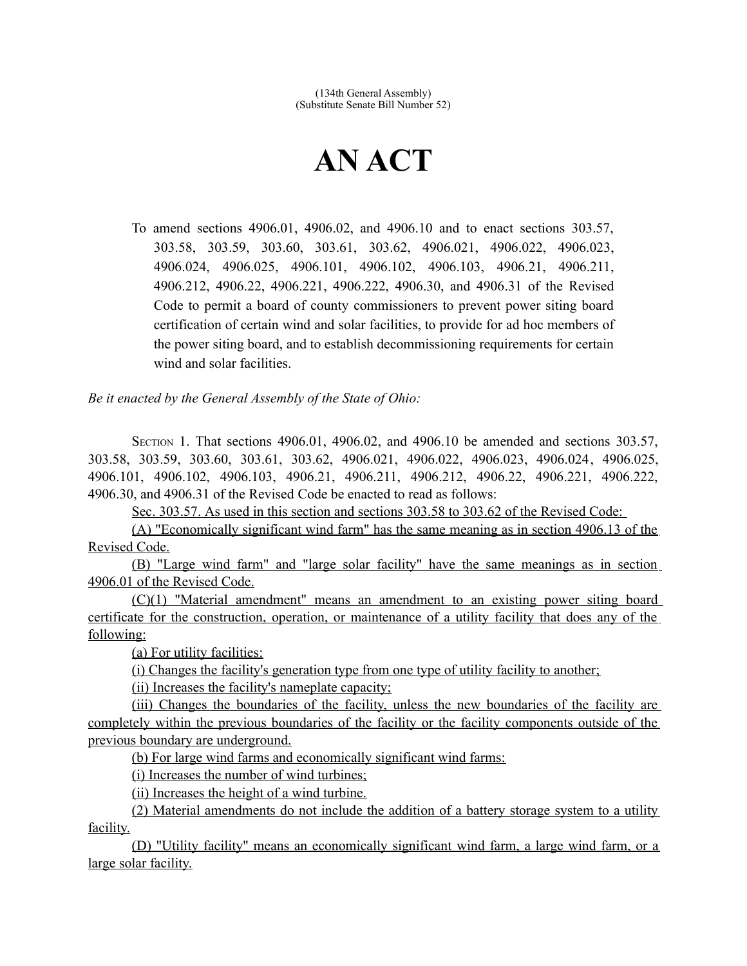## **AN ACT**

To amend sections 4906.01, 4906.02, and 4906.10 and to enact sections 303.57, 303.58, 303.59, 303.60, 303.61, 303.62, 4906.021, 4906.022, 4906.023, 4906.024, 4906.025, 4906.101, 4906.102, 4906.103, 4906.21, 4906.211, 4906.212, 4906.22, 4906.221, 4906.222, 4906.30, and 4906.31 of the Revised Code to permit a board of county commissioners to prevent power siting board certification of certain wind and solar facilities, to provide for ad hoc members of the power siting board, and to establish decommissioning requirements for certain wind and solar facilities.

*Be it enacted by the General Assembly of the State of Ohio:*

SECTION 1. That sections 4906.01, 4906.02, and 4906.10 be amended and sections 303.57, 303.58, 303.59, 303.60, 303.61, 303.62, 4906.021, 4906.022, 4906.023, 4906.024, 4906.025, 4906.101, 4906.102, 4906.103, 4906.21, 4906.211, 4906.212, 4906.22, 4906.221, 4906.222, 4906.30, and 4906.31 of the Revised Code be enacted to read as follows:

Sec. 303.57. As used in this section and sections 303.58 to 303.62 of the Revised Code:

(A) "Economically significant wind farm" has the same meaning as in section 4906.13 of the Revised Code.

(B) "Large wind farm" and "large solar facility" have the same meanings as in section 4906.01 of the Revised Code.

(C)(1) "Material amendment" means an amendment to an existing power siting board certificate for the construction, operation, or maintenance of a utility facility that does any of the following:

(a) For utility facilities:

(i) Changes the facility's generation type from one type of utility facility to another;

(ii) Increases the facility's nameplate capacity;

(iii) Changes the boundaries of the facility, unless the new boundaries of the facility are completely within the previous boundaries of the facility or the facility components outside of the previous boundary are underground.

(b) For large wind farms and economically significant wind farms:

(i) Increases the number of wind turbines;

(ii) Increases the height of a wind turbine.

(2) Material amendments do not include the addition of a battery storage system to a utility facility.

 (D) "Utility facility" means an economically significant wind farm, a large wind farm, or a large solar facility.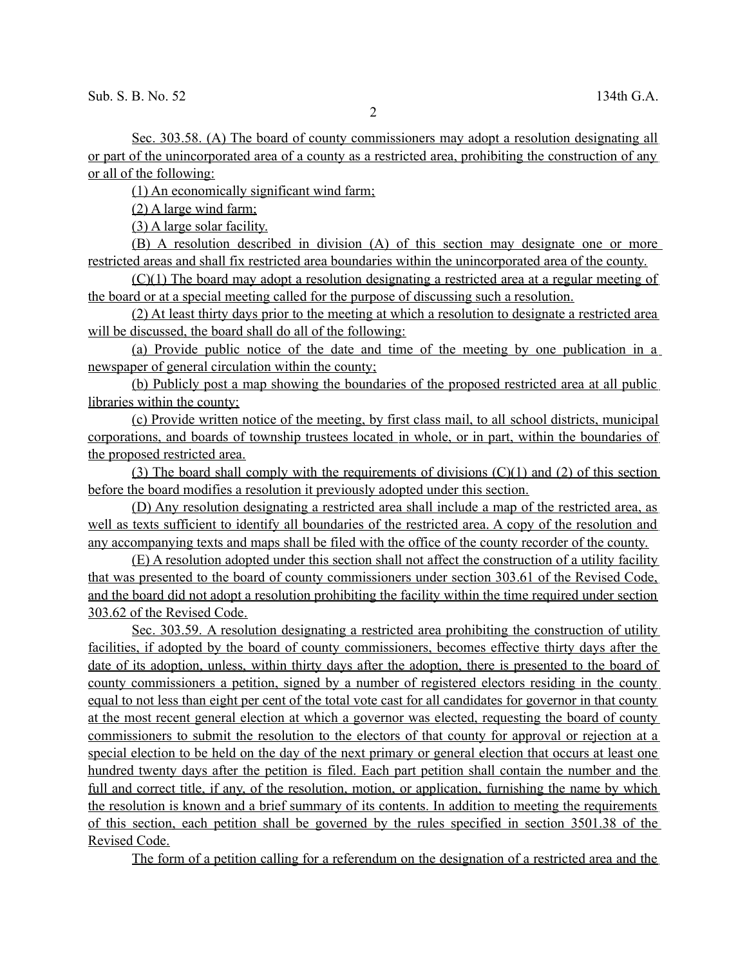Sec. 303.58. (A) The board of county commissioners may adopt a resolution designating all or part of the unincorporated area of a county as a restricted area, prohibiting the construction of any or all of the following:

(1) An economically significant wind farm;

(2) A large wind farm;

(3) A large solar facility.

(B) A resolution described in division (A) of this section may designate one or more restricted areas and shall fix restricted area boundaries within the unincorporated area of the county.

(C)(1) The board may adopt a resolution designating a restricted area at a regular meeting of the board or at a special meeting called for the purpose of discussing such a resolution.

(2) At least thirty days prior to the meeting at which a resolution to designate a restricted area will be discussed, the board shall do all of the following:

(a) Provide public notice of the date and time of the meeting by one publication in a newspaper of general circulation within the county;

(b) Publicly post a map showing the boundaries of the proposed restricted area at all public libraries within the county;

 (c) Provide written notice of the meeting, by first class mail, to all school districts, municipal corporations, and boards of township trustees located in whole, or in part, within the boundaries of the proposed restricted area.

(3) The board shall comply with the requirements of divisions  $(C)(1)$  and  $(2)$  of this section before the board modifies a resolution it previously adopted under this section.

(D) Any resolution designating a restricted area shall include a map of the restricted area, as well as texts sufficient to identify all boundaries of the restricted area. A copy of the resolution and any accompanying texts and maps shall be filed with the office of the county recorder of the county.

(E) A resolution adopted under this section shall not affect the construction of a utility facility that was presented to the board of county commissioners under section 303.61 of the Revised Code, and the board did not adopt a resolution prohibiting the facility within the time required under section 303.62 of the Revised Code.

 Sec. 303.59. A resolution designating a restricted area prohibiting the construction of utility facilities, if adopted by the board of county commissioners, becomes effective thirty days after the date of its adoption, unless, within thirty days after the adoption, there is presented to the board of county commissioners a petition, signed by a number of registered electors residing in the county equal to not less than eight per cent of the total vote cast for all candidates for governor in that county at the most recent general election at which a governor was elected, requesting the board of county commissioners to submit the resolution to the electors of that county for approval or rejection at a special election to be held on the day of the next primary or general election that occurs at least one hundred twenty days after the petition is filed. Each part petition shall contain the number and the full and correct title, if any, of the resolution, motion, or application, furnishing the name by which the resolution is known and a brief summary of its contents. In addition to meeting the requirements of this section, each petition shall be governed by the rules specified in section 3501.38 of the Revised Code.

The form of a petition calling for a referendum on the designation of a restricted area and the

2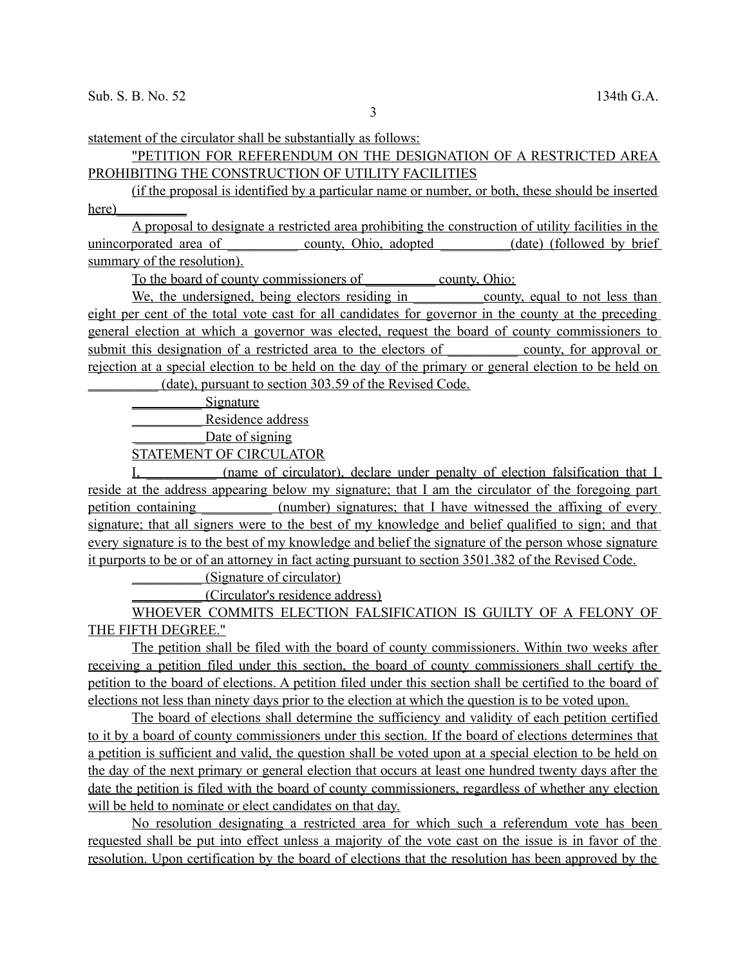statement of the circulator shall be substantially as follows:

## "PETITION FOR REFERENDUM ON THE DESIGNATION OF A RESTRICTED AREA PROHIBITING THE CONSTRUCTION OF UTILITY FACILITIES

(if the proposal is identified by a particular name or number, or both, these should be inserted here)

A proposal to designate a restricted area prohibiting the construction of utility facilities in the unincorporated area of county, Ohio, adopted (date) (followed by brief summary of the resolution).

To the board of county commissioners of \_\_\_\_\_\_\_\_\_\_ county, Ohio:

We, the undersigned, being electors residing in county, equal to not less than eight per cent of the total vote cast for all candidates for governor in the county at the preceding general election at which a governor was elected, request the board of county commissioners to submit this designation of a restricted area to the electors of county, for approval or rejection at a special election to be held on the day of the primary or general election to be held on (date), pursuant to section 303.59 of the Revised Code.

\_\_\_\_\_\_\_\_\_\_ Signature

Residence address

Date of signing

STATEMENT OF CIRCULATOR

I, change of circulator), declare under penalty of election falsification that I reside at the address appearing below my signature; that I am the circulator of the foregoing part petition containing (number) signatures; that I have witnessed the affixing of every signature; that all signers were to the best of my knowledge and belief qualified to sign; and that every signature is to the best of my knowledge and belief the signature of the person whose signature it purports to be or of an attorney in fact acting pursuant to section 3501.382 of the Revised Code.

\_\_\_\_\_\_\_\_\_\_ (Signature of circulator)

\_\_\_\_\_\_\_\_\_\_ (Circulator's residence address)

WHOEVER COMMITS ELECTION FALSIFICATION IS GUILTY OF A FELONY OF THE FIFTH DEGREE."

The petition shall be filed with the board of county commissioners. Within two weeks after receiving a petition filed under this section, the board of county commissioners shall certify the petition to the board of elections. A petition filed under this section shall be certified to the board of elections not less than ninety days prior to the election at which the question is to be voted upon.

The board of elections shall determine the sufficiency and validity of each petition certified to it by a board of county commissioners under this section. If the board of elections determines that a petition is sufficient and valid, the question shall be voted upon at a special election to be held on the day of the next primary or general election that occurs at least one hundred twenty days after the date the petition is filed with the board of county commissioners, regardless of whether any election will be held to nominate or elect candidates on that day.

No resolution designating a restricted area for which such a referendum vote has been requested shall be put into effect unless a majority of the vote cast on the issue is in favor of the resolution. Upon certification by the board of elections that the resolution has been approved by the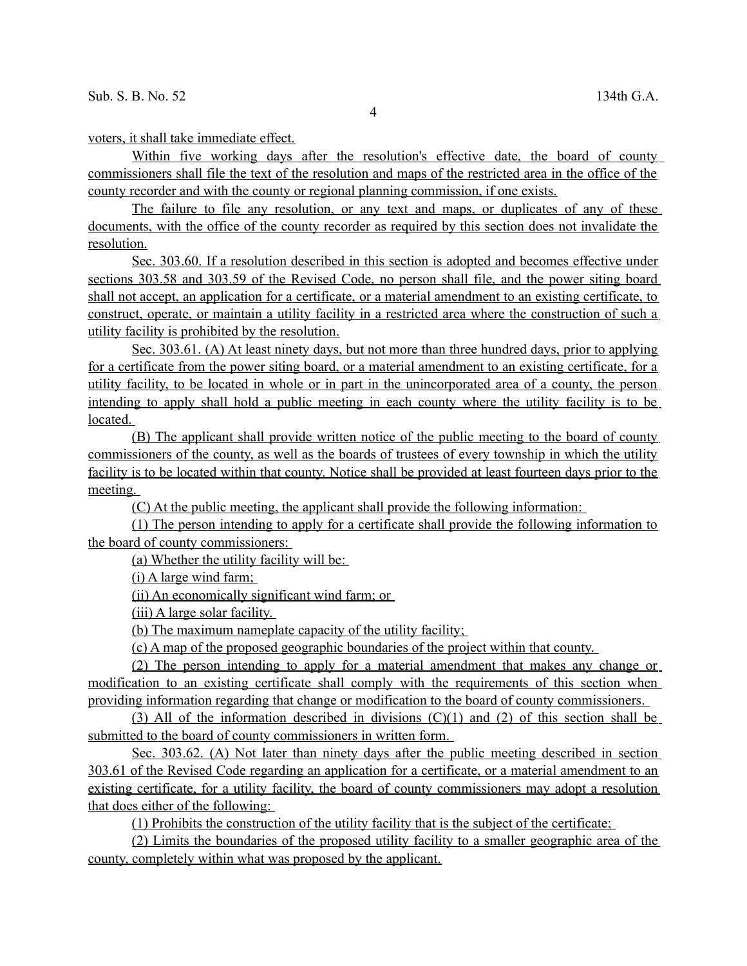voters, it shall take immediate effect.

Within five working days after the resolution's effective date, the board of county commissioners shall file the text of the resolution and maps of the restricted area in the office of the county recorder and with the county or regional planning commission, if one exists.

The failure to file any resolution, or any text and maps, or duplicates of any of these documents, with the office of the county recorder as required by this section does not invalidate the resolution.

 Sec. 303.60. If a resolution described in this section is adopted and becomes effective under sections 303.58 and 303.59 of the Revised Code, no person shall file, and the power siting board shall not accept, an application for a certificate, or a material amendment to an existing certificate, to construct, operate, or maintain a utility facility in a restricted area where the construction of such a utility facility is prohibited by the resolution.

Sec. 303.61. (A) At least ninety days, but not more than three hundred days, prior to applying for a certificate from the power siting board, or a material amendment to an existing certificate, for a utility facility, to be located in whole or in part in the unincorporated area of a county, the person intending to apply shall hold a public meeting in each county where the utility facility is to be located.

(B) The applicant shall provide written notice of the public meeting to the board of county commissioners of the county, as well as the boards of trustees of every township in which the utility facility is to be located within that county. Notice shall be provided at least fourteen days prior to the meeting.

(C) At the public meeting, the applicant shall provide the following information:

(1) The person intending to apply for a certificate shall provide the following information to the board of county commissioners:

(a) Whether the utility facility will be:

(i) A large wind farm;

(ii) An economically significant wind farm; or

(iii) A large solar facility.

(b) The maximum nameplate capacity of the utility facility;

(c) A map of the proposed geographic boundaries of the project within that county.

(2) The person intending to apply for a material amendment that makes any change or modification to an existing certificate shall comply with the requirements of this section when providing information regarding that change or modification to the board of county commissioners.

(3) All of the information described in divisions (C)(1) and (2) of this section shall be submitted to the board of county commissioners in written form.

 Sec. 303.62. (A) Not later than ninety days after the public meeting described in section 303.61 of the Revised Code regarding an application for a certificate, or a material amendment to an existing certificate, for a utility facility, the board of county commissioners may adopt a resolution that does either of the following:

(1) Prohibits the construction of the utility facility that is the subject of the certificate;

(2) Limits the boundaries of the proposed utility facility to a smaller geographic area of the county, completely within what was proposed by the applicant.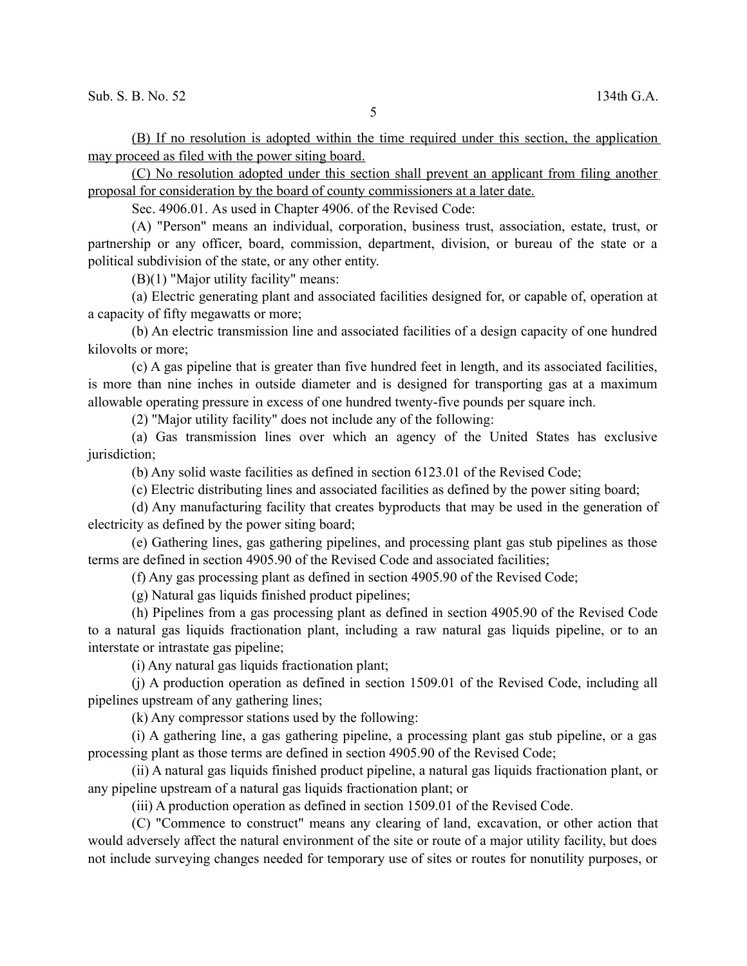(B) If no resolution is adopted within the time required under this section, the application may proceed as filed with the power siting board.

(C) No resolution adopted under this section shall prevent an applicant from filing another proposal for consideration by the board of county commissioners at a later date.

Sec. 4906.01. As used in Chapter 4906. of the Revised Code:

(A) "Person" means an individual, corporation, business trust, association, estate, trust, or partnership or any officer, board, commission, department, division, or bureau of the state or a political subdivision of the state, or any other entity.

(B)(1) "Major utility facility" means:

(a) Electric generating plant and associated facilities designed for, or capable of, operation at a capacity of fifty megawatts or more;

(b) An electric transmission line and associated facilities of a design capacity of one hundred kilovolts or more;

(c) A gas pipeline that is greater than five hundred feet in length, and its associated facilities, is more than nine inches in outside diameter and is designed for transporting gas at a maximum allowable operating pressure in excess of one hundred twenty-five pounds per square inch.

(2) "Major utility facility" does not include any of the following:

(a) Gas transmission lines over which an agency of the United States has exclusive jurisdiction;

(b) Any solid waste facilities as defined in section 6123.01 of the Revised Code;

(c) Electric distributing lines and associated facilities as defined by the power siting board;

(d) Any manufacturing facility that creates byproducts that may be used in the generation of electricity as defined by the power siting board;

(e) Gathering lines, gas gathering pipelines, and processing plant gas stub pipelines as those terms are defined in section 4905.90 of the Revised Code and associated facilities;

(f) Any gas processing plant as defined in section 4905.90 of the Revised Code;

(g) Natural gas liquids finished product pipelines;

(h) Pipelines from a gas processing plant as defined in section 4905.90 of the Revised Code to a natural gas liquids fractionation plant, including a raw natural gas liquids pipeline, or to an interstate or intrastate gas pipeline;

(i) Any natural gas liquids fractionation plant;

(j) A production operation as defined in section 1509.01 of the Revised Code, including all pipelines upstream of any gathering lines;

(k) Any compressor stations used by the following:

(i) A gathering line, a gas gathering pipeline, a processing plant gas stub pipeline, or a gas processing plant as those terms are defined in section 4905.90 of the Revised Code;

(ii) A natural gas liquids finished product pipeline, a natural gas liquids fractionation plant, or any pipeline upstream of a natural gas liquids fractionation plant; or

(iii) A production operation as defined in section 1509.01 of the Revised Code.

(C) "Commence to construct" means any clearing of land, excavation, or other action that would adversely affect the natural environment of the site or route of a major utility facility, but does not include surveying changes needed for temporary use of sites or routes for nonutility purposes, or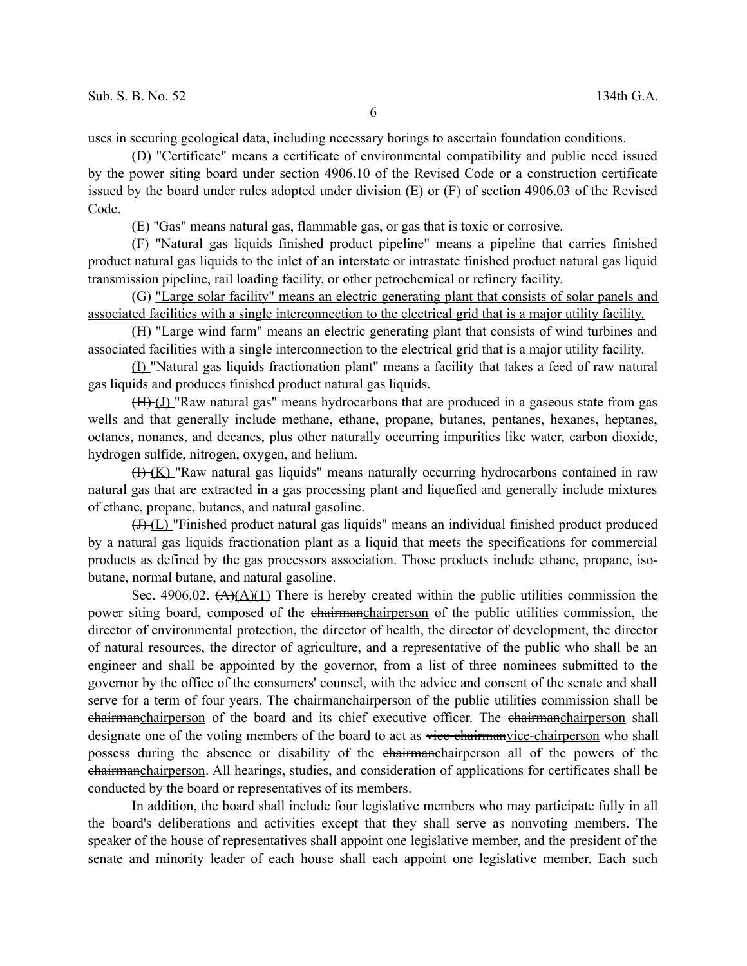uses in securing geological data, including necessary borings to ascertain foundation conditions.

(D) "Certificate" means a certificate of environmental compatibility and public need issued by the power siting board under section 4906.10 of the Revised Code or a construction certificate issued by the board under rules adopted under division (E) or (F) of section 4906.03 of the Revised Code.

(E) "Gas" means natural gas, flammable gas, or gas that is toxic or corrosive.

(F) "Natural gas liquids finished product pipeline" means a pipeline that carries finished product natural gas liquids to the inlet of an interstate or intrastate finished product natural gas liquid transmission pipeline, rail loading facility, or other petrochemical or refinery facility.

(G) "Large solar facility" means an electric generating plant that consists of solar panels and associated facilities with a single interconnection to the electrical grid that is a major utility facility.

(H) "Large wind farm" means an electric generating plant that consists of wind turbines and associated facilities with a single interconnection to the electrical grid that is a major utility facility.

(I) "Natural gas liquids fractionation plant" means a facility that takes a feed of raw natural gas liquids and produces finished product natural gas liquids.

(H) (J) "Raw natural gas" means hydrocarbons that are produced in a gaseous state from gas wells and that generally include methane, ethane, propane, butanes, pentanes, hexanes, heptanes, octanes, nonanes, and decanes, plus other naturally occurring impurities like water, carbon dioxide, hydrogen sulfide, nitrogen, oxygen, and helium.

 $(H-(K)$  "Raw natural gas liquids" means naturally occurring hydrocarbons contained in raw natural gas that are extracted in a gas processing plant and liquefied and generally include mixtures of ethane, propane, butanes, and natural gasoline.

 $(H)(L)$  "Finished product natural gas liquids" means an individual finished product produced by a natural gas liquids fractionation plant as a liquid that meets the specifications for commercial products as defined by the gas processors association. Those products include ethane, propane, isobutane, normal butane, and natural gasoline.

Sec. 4906.02.  $(A)(A)(1)$  There is hereby created within the public utilities commission the power siting board, composed of the chairmanchairperson of the public utilities commission, the director of environmental protection, the director of health, the director of development, the director of natural resources, the director of agriculture, and a representative of the public who shall be an engineer and shall be appointed by the governor, from a list of three nominees submitted to the governor by the office of the consumers' counsel, with the advice and consent of the senate and shall serve for a term of four years. The chairmanchairperson of the public utilities commission shall be chairmanchairperson of the board and its chief executive officer. The chairmanchairperson shall designate one of the voting members of the board to act as viee-chairmanvice-chairperson who shall possess during the absence or disability of the chairmanchairperson all of the powers of the chairmanchairperson. All hearings, studies, and consideration of applications for certificates shall be conducted by the board or representatives of its members.

In addition, the board shall include four legislative members who may participate fully in all the board's deliberations and activities except that they shall serve as nonvoting members. The speaker of the house of representatives shall appoint one legislative member, and the president of the senate and minority leader of each house shall each appoint one legislative member. Each such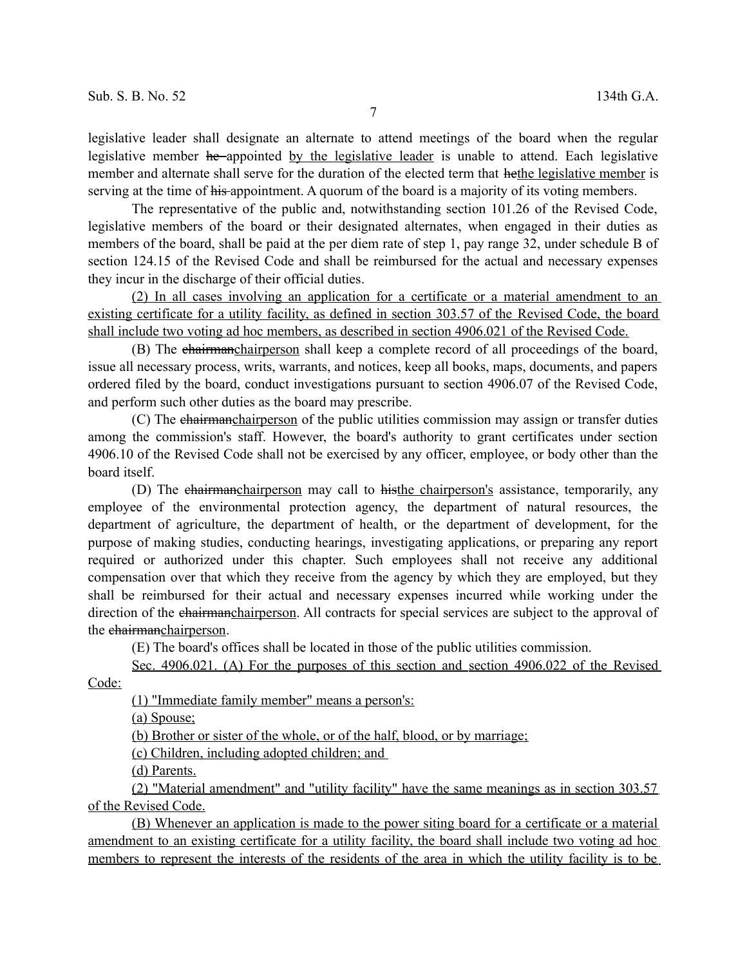legislative leader shall designate an alternate to attend meetings of the board when the regular legislative member he appointed by the legislative leader is unable to attend. Each legislative member and alternate shall serve for the duration of the elected term that hethe legislative member is serving at the time of his appointment. A quorum of the board is a majority of its voting members.

The representative of the public and, notwithstanding section 101.26 of the Revised Code, legislative members of the board or their designated alternates, when engaged in their duties as members of the board, shall be paid at the per diem rate of step 1, pay range 32, under schedule B of section 124.15 of the Revised Code and shall be reimbursed for the actual and necessary expenses they incur in the discharge of their official duties.

(2) In all cases involving an application for a certificate or a material amendment to an existing certificate for a utility facility, as defined in section 303.57 of the Revised Code, the board shall include two voting ad hoc members, as described in section 4906.021 of the Revised Code.

(B) The chairmanchairperson shall keep a complete record of all proceedings of the board, issue all necessary process, writs, warrants, and notices, keep all books, maps, documents, and papers ordered filed by the board, conduct investigations pursuant to section 4906.07 of the Revised Code, and perform such other duties as the board may prescribe.

(C) The chairmanchairperson of the public utilities commission may assign or transfer duties among the commission's staff. However, the board's authority to grant certificates under section 4906.10 of the Revised Code shall not be exercised by any officer, employee, or body other than the board itself.

(D) The chairmanchairperson may call to histhe chairperson's assistance, temporarily, any employee of the environmental protection agency, the department of natural resources, the department of agriculture, the department of health, or the department of development, for the purpose of making studies, conducting hearings, investigating applications, or preparing any report required or authorized under this chapter. Such employees shall not receive any additional compensation over that which they receive from the agency by which they are employed, but they shall be reimbursed for their actual and necessary expenses incurred while working under the direction of the chairmanchairperson. All contracts for special services are subject to the approval of the chairmanchairperson.

(E) The board's offices shall be located in those of the public utilities commission.

 Sec. 4906.021. (A) For the purposes of this section and section 4906.022 of the Revised Code:

(1) "Immediate family member" means a person's:

(a) Spouse;

(b) Brother or sister of the whole, or of the half, blood, or by marriage;

(c) Children, including adopted children; and

(d) Parents.

(2) "Material amendment" and "utility facility" have the same meanings as in section 303.57 of the Revised Code.

(B) Whenever an application is made to the power siting board for a certificate or a material amendment to an existing certificate for a utility facility, the board shall include two voting ad hoc members to represent the interests of the residents of the area in which the utility facility is to be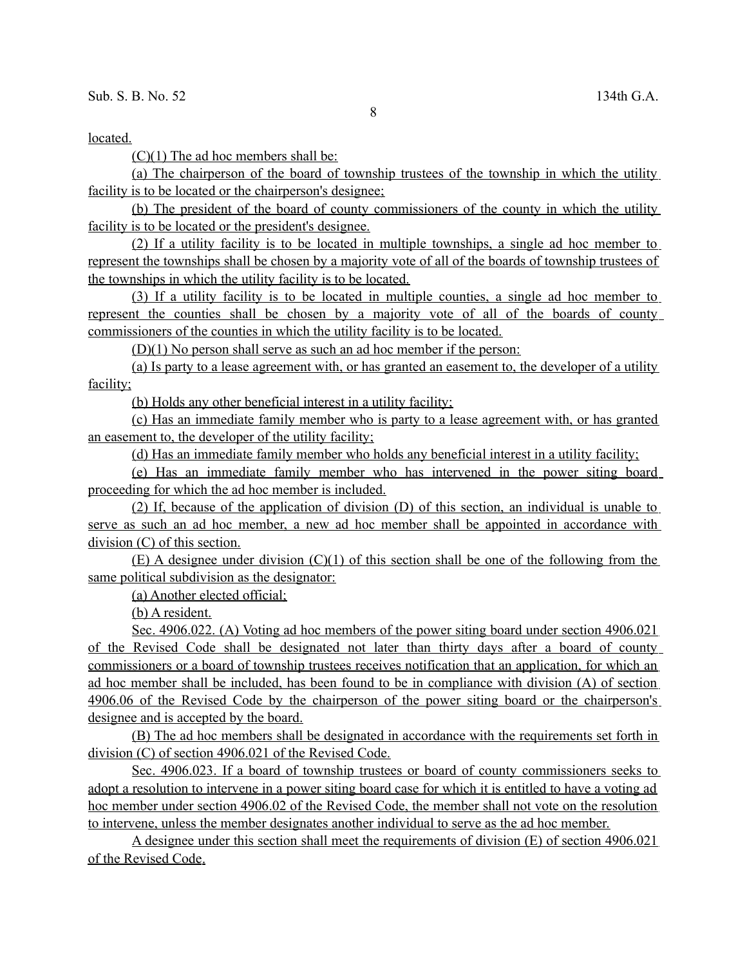located.

 $(C)(1)$  The ad hoc members shall be:

(a) The chairperson of the board of township trustees of the township in which the utility facility is to be located or the chairperson's designee;

(b) The president of the board of county commissioners of the county in which the utility facility is to be located or the president's designee.

(2) If a utility facility is to be located in multiple townships, a single ad hoc member to represent the townships shall be chosen by a majority vote of all of the boards of township trustees of the townships in which the utility facility is to be located.

(3) If a utility facility is to be located in multiple counties, a single ad hoc member to represent the counties shall be chosen by a majority vote of all of the boards of county commissioners of the counties in which the utility facility is to be located.

(D)(1) No person shall serve as such an ad hoc member if the person:

(a) Is party to a lease agreement with, or has granted an easement to, the developer of a utility facility;

(b) Holds any other beneficial interest in a utility facility;

(c) Has an immediate family member who is party to a lease agreement with, or has granted an easement to, the developer of the utility facility;

(d) Has an immediate family member who holds any beneficial interest in a utility facility;

(e) Has an immediate family member who has intervened in the power siting board proceeding for which the ad hoc member is included.

(2) If, because of the application of division (D) of this section, an individual is unable to serve as such an ad hoc member, a new ad hoc member shall be appointed in accordance with division (C) of this section.

 $(E)$  A designee under division  $(C)(1)$  of this section shall be one of the following from the same political subdivision as the designator:

(a) Another elected official;

(b) A resident.

 Sec. 4906.022. (A) Voting ad hoc members of the power siting board under section 4906.021 of the Revised Code shall be designated not later than thirty days after a board of county commissioners or a board of township trustees receives notification that an application, for which an ad hoc member shall be included, has been found to be in compliance with division (A) of section 4906.06 of the Revised Code by the chairperson of the power siting board or the chairperson's designee and is accepted by the board.

(B) The ad hoc members shall be designated in accordance with the requirements set forth in division (C) of section 4906.021 of the Revised Code.

 Sec. 4906.023. If a board of township trustees or board of county commissioners seeks to adopt a resolution to intervene in a power siting board case for which it is entitled to have a voting ad hoc member under section 4906.02 of the Revised Code, the member shall not vote on the resolution to intervene, unless the member designates another individual to serve as the ad hoc member.

 A designee under this section shall meet the requirements of division (E) of section 4906.021 of the Revised Code.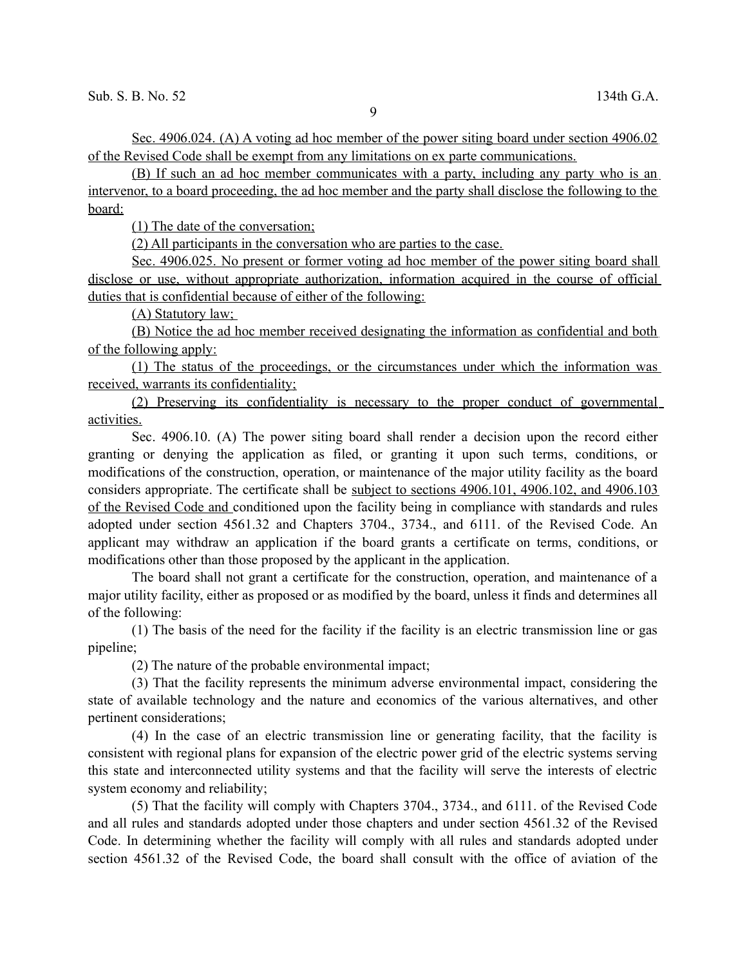Sec. 4906.024. (A) A voting ad hoc member of the power siting board under section 4906.02 of the Revised Code shall be exempt from any limitations on ex parte communications.

(B) If such an ad hoc member communicates with a party, including any party who is an intervenor, to a board proceeding, the ad hoc member and the party shall disclose the following to the board:

(1) The date of the conversation;

(2) All participants in the conversation who are parties to the case.

 Sec. 4906.025. No present or former voting ad hoc member of the power siting board shall disclose or use, without appropriate authorization, information acquired in the course of official duties that is confidential because of either of the following:

(A) Statutory law;

(B) Notice the ad hoc member received designating the information as confidential and both of the following apply:

(1) The status of the proceedings, or the circumstances under which the information was received, warrants its confidentiality;

(2) Preserving its confidentiality is necessary to the proper conduct of governmental activities.

Sec. 4906.10. (A) The power siting board shall render a decision upon the record either granting or denying the application as filed, or granting it upon such terms, conditions, or modifications of the construction, operation, or maintenance of the major utility facility as the board considers appropriate. The certificate shall be subject to sections 4906.101, 4906.102, and 4906.103 of the Revised Code and conditioned upon the facility being in compliance with standards and rules adopted under section 4561.32 and Chapters 3704., 3734., and 6111. of the Revised Code. An applicant may withdraw an application if the board grants a certificate on terms, conditions, or modifications other than those proposed by the applicant in the application.

The board shall not grant a certificate for the construction, operation, and maintenance of a major utility facility, either as proposed or as modified by the board, unless it finds and determines all of the following:

(1) The basis of the need for the facility if the facility is an electric transmission line or gas pipeline;

(2) The nature of the probable environmental impact;

(3) That the facility represents the minimum adverse environmental impact, considering the state of available technology and the nature and economics of the various alternatives, and other pertinent considerations;

(4) In the case of an electric transmission line or generating facility, that the facility is consistent with regional plans for expansion of the electric power grid of the electric systems serving this state and interconnected utility systems and that the facility will serve the interests of electric system economy and reliability;

(5) That the facility will comply with Chapters 3704., 3734., and 6111. of the Revised Code and all rules and standards adopted under those chapters and under section 4561.32 of the Revised Code. In determining whether the facility will comply with all rules and standards adopted under section 4561.32 of the Revised Code, the board shall consult with the office of aviation of the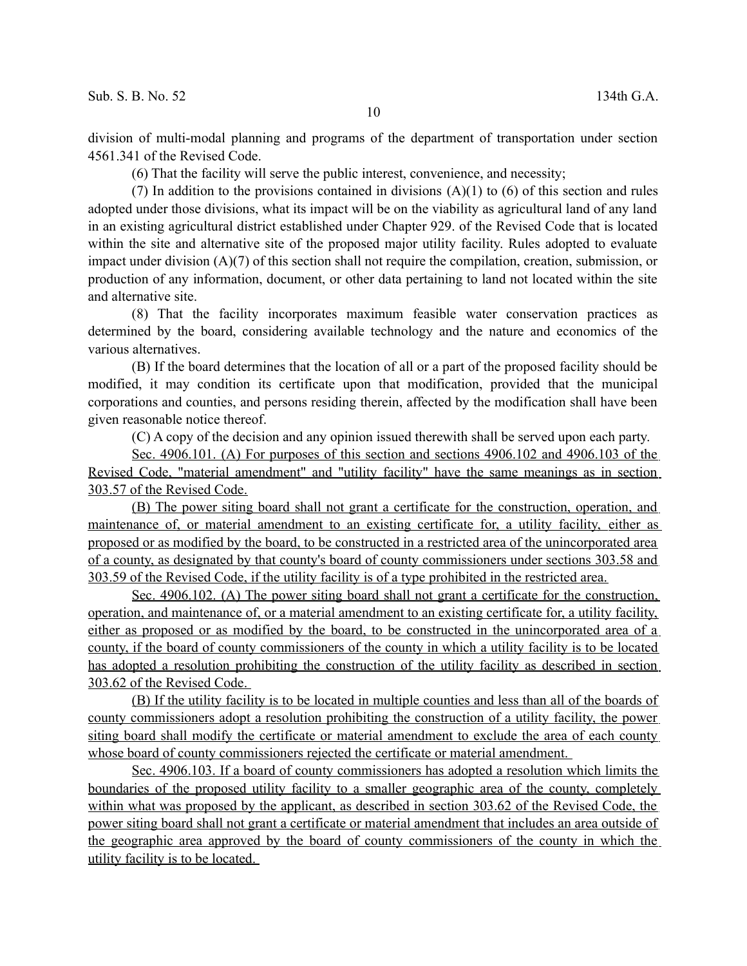division of multi-modal planning and programs of the department of transportation under section 4561.341 of the Revised Code.

(6) That the facility will serve the public interest, convenience, and necessity;

(7) In addition to the provisions contained in divisions  $(A)(1)$  to  $(6)$  of this section and rules adopted under those divisions, what its impact will be on the viability as agricultural land of any land in an existing agricultural district established under Chapter 929. of the Revised Code that is located within the site and alternative site of the proposed major utility facility. Rules adopted to evaluate impact under division (A)(7) of this section shall not require the compilation, creation, submission, or production of any information, document, or other data pertaining to land not located within the site and alternative site.

(8) That the facility incorporates maximum feasible water conservation practices as determined by the board, considering available technology and the nature and economics of the various alternatives.

(B) If the board determines that the location of all or a part of the proposed facility should be modified, it may condition its certificate upon that modification, provided that the municipal corporations and counties, and persons residing therein, affected by the modification shall have been given reasonable notice thereof.

(C) A copy of the decision and any opinion issued therewith shall be served upon each party.

Sec. 4906.101. (A) For purposes of this section and sections 4906.102 and 4906.103 of the Revised Code, "material amendment" and "utility facility" have the same meanings as in section 303.57 of the Revised Code.

(B) The power siting board shall not grant a certificate for the construction, operation, and maintenance of, or material amendment to an existing certificate for, a utility facility, either as proposed or as modified by the board, to be constructed in a restricted area of the unincorporated area of a county, as designated by that county's board of county commissioners under sections 303.58 and 303.59 of the Revised Code, if the utility facility is of a type prohibited in the restricted area.

Sec. 4906.102. (A) The power siting board shall not grant a certificate for the construction, operation, and maintenance of, or a material amendment to an existing certificate for, a utility facility, either as proposed or as modified by the board, to be constructed in the unincorporated area of a county, if the board of county commissioners of the county in which a utility facility is to be located has adopted a resolution prohibiting the construction of the utility facility as described in section 303.62 of the Revised Code.

(B) If the utility facility is to be located in multiple counties and less than all of the boards of county commissioners adopt a resolution prohibiting the construction of a utility facility, the power siting board shall modify the certificate or material amendment to exclude the area of each county whose board of county commissioners rejected the certificate or material amendment.

 Sec. 4906.103. If a board of county commissioners has adopted a resolution which limits the boundaries of the proposed utility facility to a smaller geographic area of the county, completely within what was proposed by the applicant, as described in section 303.62 of the Revised Code, the power siting board shall not grant a certificate or material amendment that includes an area outside of the geographic area approved by the board of county commissioners of the county in which the utility facility is to be located.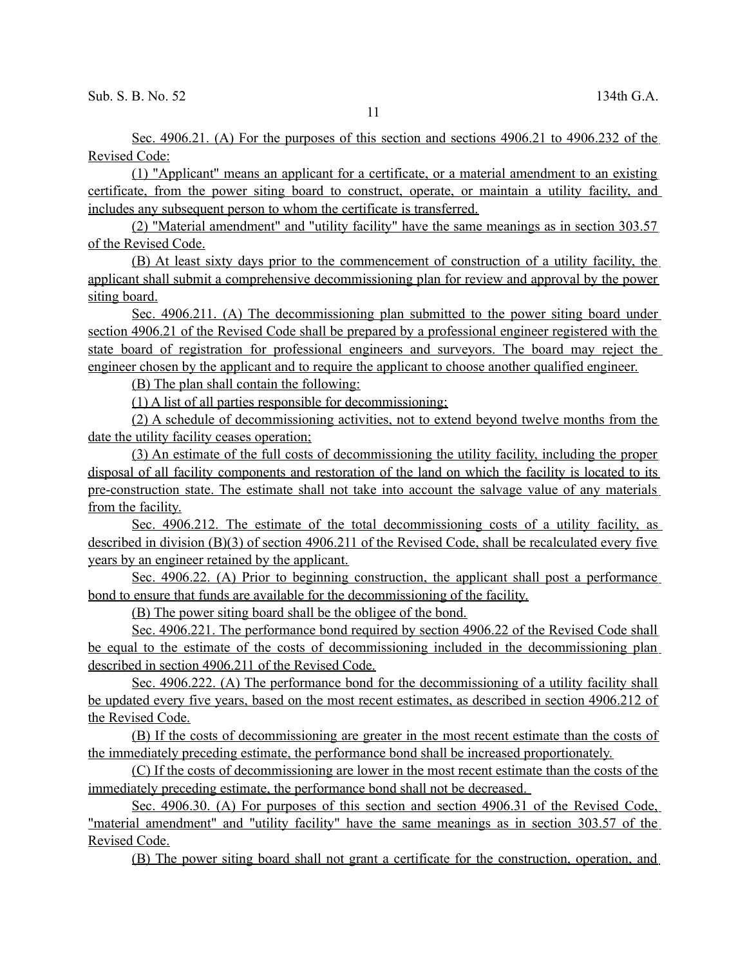Sec. 4906.21. (A) For the purposes of this section and sections 4906.21 to 4906.232 of the Revised Code:

(1) "Applicant" means an applicant for a certificate, or a material amendment to an existing certificate, from the power siting board to construct, operate, or maintain a utility facility, and includes any subsequent person to whom the certificate is transferred.

(2) "Material amendment" and "utility facility" have the same meanings as in section 303.57 of the Revised Code.

(B) At least sixty days prior to the commencement of construction of a utility facility, the applicant shall submit a comprehensive decommissioning plan for review and approval by the power siting board.

 Sec. 4906.211. (A) The decommissioning plan submitted to the power siting board under section 4906.21 of the Revised Code shall be prepared by a professional engineer registered with the state board of registration for professional engineers and surveyors. The board may reject the engineer chosen by the applicant and to require the applicant to choose another qualified engineer.

(B) The plan shall contain the following:

(1) A list of all parties responsible for decommissioning;

(2) A schedule of decommissioning activities, not to extend beyond twelve months from the date the utility facility ceases operation;

(3) An estimate of the full costs of decommissioning the utility facility, including the proper disposal of all facility components and restoration of the land on which the facility is located to its pre-construction state. The estimate shall not take into account the salvage value of any materials from the facility.

 Sec. 4906.212. The estimate of the total decommissioning costs of a utility facility, as described in division (B)(3) of section 4906.211 of the Revised Code, shall be recalculated every five years by an engineer retained by the applicant.

Sec. 4906.22. (A) Prior to beginning construction, the applicant shall post a performance bond to ensure that funds are available for the decommissioning of the facility.

(B) The power siting board shall be the obligee of the bond.

Sec. 4906.221. The performance bond required by section 4906.22 of the Revised Code shall be equal to the estimate of the costs of decommissioning included in the decommissioning plan described in section 4906.211 of the Revised Code.

Sec. 4906.222. (A) The performance bond for the decommissioning of a utility facility shall be updated every five years, based on the most recent estimates, as described in section 4906.212 of the Revised Code.

(B) If the costs of decommissioning are greater in the most recent estimate than the costs of the immediately preceding estimate, the performance bond shall be increased proportionately.

(C) If the costs of decommissioning are lower in the most recent estimate than the costs of the immediately preceding estimate, the performance bond shall not be decreased.

 Sec. 4906.30. (A) For purposes of this section and section 4906.31 of the Revised Code, "material amendment" and "utility facility" have the same meanings as in section 303.57 of the Revised Code.

(B) The power siting board shall not grant a certificate for the construction, operation, and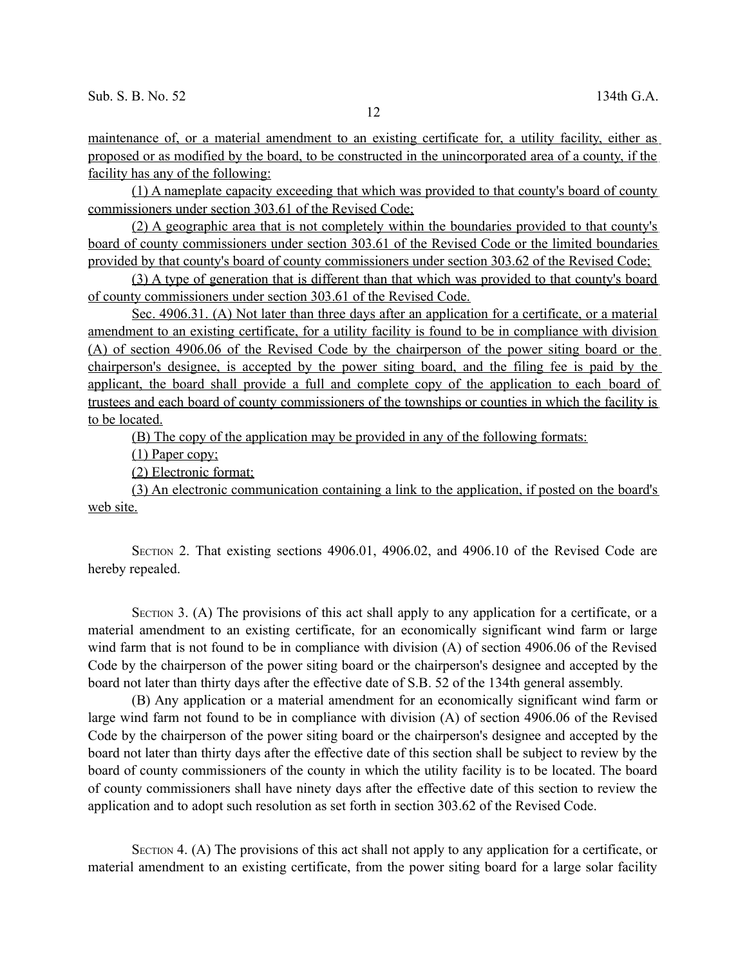maintenance of, or a material amendment to an existing certificate for, a utility facility, either as proposed or as modified by the board, to be constructed in the unincorporated area of a county, if the facility has any of the following:

(1) A nameplate capacity exceeding that which was provided to that county's board of county commissioners under section 303.61 of the Revised Code;

(2) A geographic area that is not completely within the boundaries provided to that county's board of county commissioners under section 303.61 of the Revised Code or the limited boundaries provided by that county's board of county commissioners under section 303.62 of the Revised Code;

(3) A type of generation that is different than that which was provided to that county's board of county commissioners under section 303.61 of the Revised Code.

Sec. 4906.31. (A) Not later than three days after an application for a certificate, or a material amendment to an existing certificate, for a utility facility is found to be in compliance with division (A) of section 4906.06 of the Revised Code by the chairperson of the power siting board or the chairperson's designee, is accepted by the power siting board, and the filing fee is paid by the applicant, the board shall provide a full and complete copy of the application to each board of trustees and each board of county commissioners of the townships or counties in which the facility is to be located.

(B) The copy of the application may be provided in any of the following formats:

(1) Paper copy;

(2) Electronic format;

(3) An electronic communication containing a link to the application, if posted on the board's web site.

SECTION 2. That existing sections 4906.01, 4906.02, and 4906.10 of the Revised Code are hereby repealed.

SECTION 3. (A) The provisions of this act shall apply to any application for a certificate, or a material amendment to an existing certificate, for an economically significant wind farm or large wind farm that is not found to be in compliance with division (A) of section 4906.06 of the Revised Code by the chairperson of the power siting board or the chairperson's designee and accepted by the board not later than thirty days after the effective date of S.B. 52 of the 134th general assembly.

(B) Any application or a material amendment for an economically significant wind farm or large wind farm not found to be in compliance with division (A) of section 4906.06 of the Revised Code by the chairperson of the power siting board or the chairperson's designee and accepted by the board not later than thirty days after the effective date of this section shall be subject to review by the board of county commissioners of the county in which the utility facility is to be located. The board of county commissioners shall have ninety days after the effective date of this section to review the application and to adopt such resolution as set forth in section 303.62 of the Revised Code.

SECTION 4. (A) The provisions of this act shall not apply to any application for a certificate, or material amendment to an existing certificate, from the power siting board for a large solar facility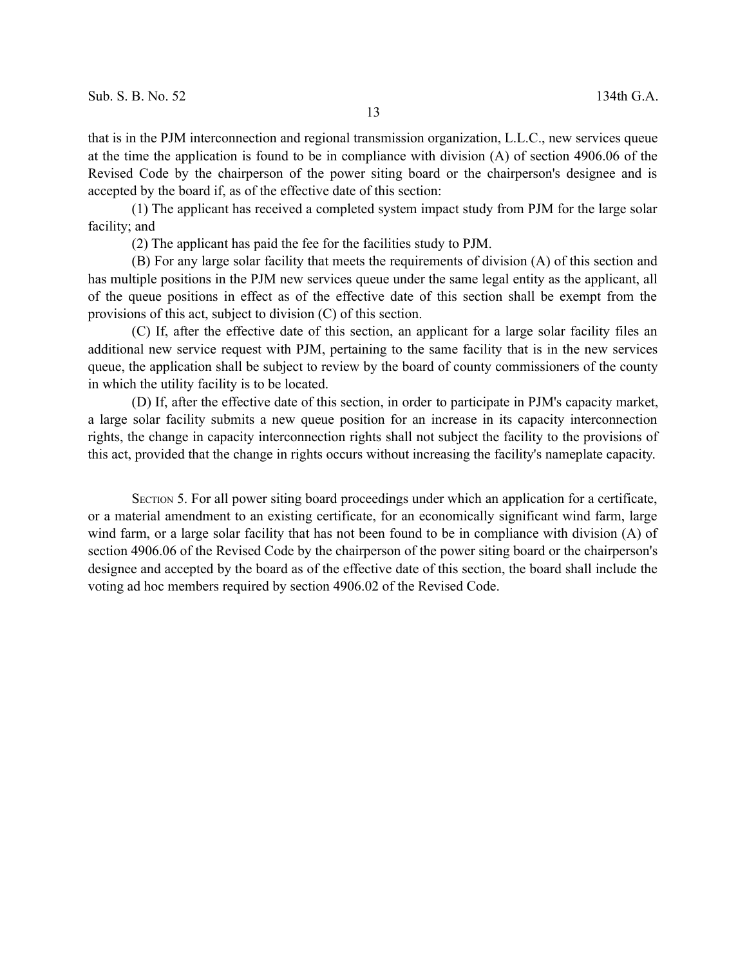(1) The applicant has received a completed system impact study from PJM for the large solar facility; and

(2) The applicant has paid the fee for the facilities study to PJM.

(B) For any large solar facility that meets the requirements of division (A) of this section and has multiple positions in the PJM new services queue under the same legal entity as the applicant, all of the queue positions in effect as of the effective date of this section shall be exempt from the provisions of this act, subject to division (C) of this section.

(C) If, after the effective date of this section, an applicant for a large solar facility files an additional new service request with PJM, pertaining to the same facility that is in the new services queue, the application shall be subject to review by the board of county commissioners of the county in which the utility facility is to be located.

(D) If, after the effective date of this section, in order to participate in PJM's capacity market, a large solar facility submits a new queue position for an increase in its capacity interconnection rights, the change in capacity interconnection rights shall not subject the facility to the provisions of this act, provided that the change in rights occurs without increasing the facility's nameplate capacity.

SECTION 5. For all power siting board proceedings under which an application for a certificate, or a material amendment to an existing certificate, for an economically significant wind farm, large wind farm, or a large solar facility that has not been found to be in compliance with division (A) of section 4906.06 of the Revised Code by the chairperson of the power siting board or the chairperson's designee and accepted by the board as of the effective date of this section, the board shall include the voting ad hoc members required by section 4906.02 of the Revised Code.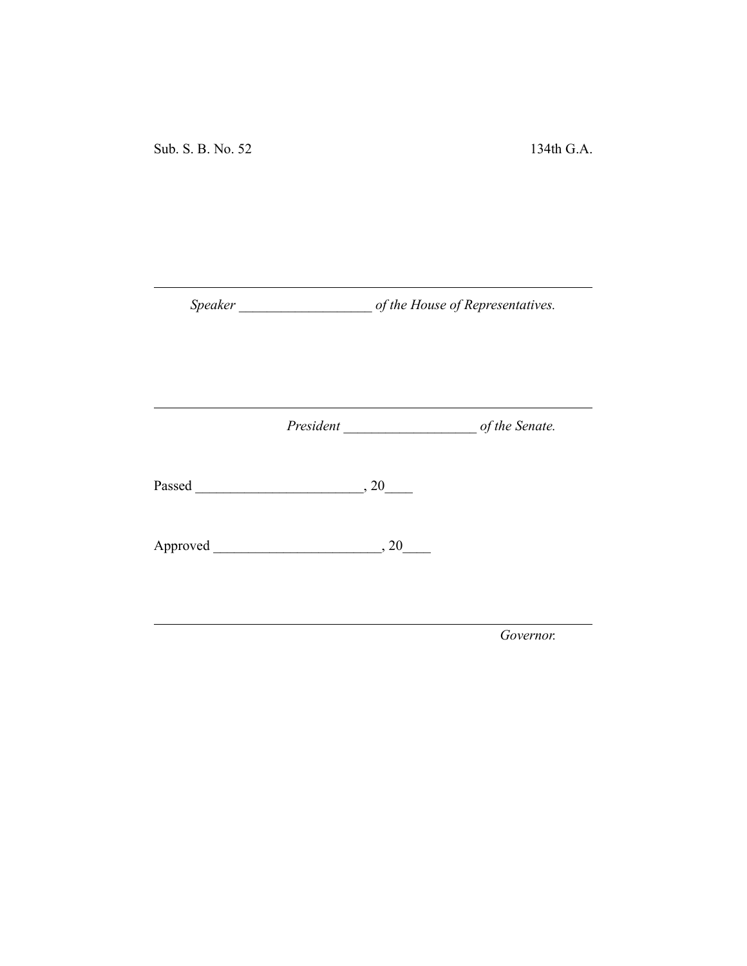*Speaker \_\_\_\_\_\_\_\_\_\_\_\_\_\_\_\_\_\_\_ of the House of Representatives.*

*President \_\_\_\_\_\_\_\_\_\_\_\_\_\_\_\_\_\_\_ of the Senate.*

Passed \_\_\_\_\_\_\_\_\_\_\_\_\_\_\_\_\_\_\_\_\_\_\_\_, 20\_\_\_\_

Approved \_\_\_\_\_\_\_\_\_\_\_\_\_\_\_\_\_\_\_\_\_\_\_\_, 20\_\_\_\_

*Governor.*